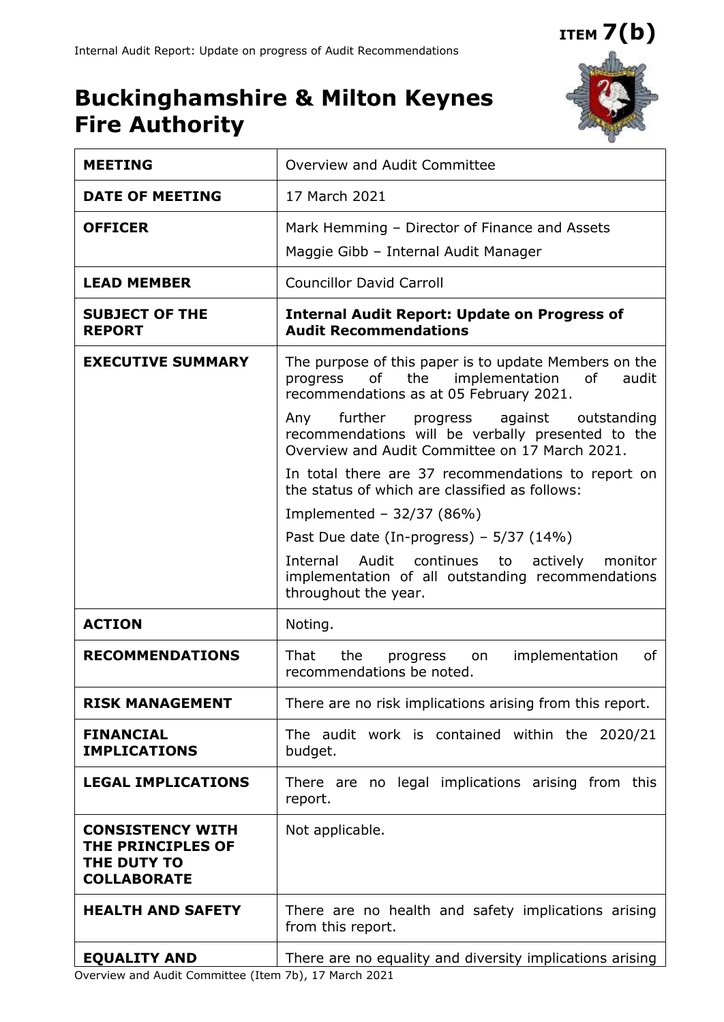**ITEM 7(b)**

## **Buckinghamshire & Milton Keynes Fire Authority**



| <b>MEETING</b>                                                                    | Overview and Audit Committee                                                                                                                                                                                                                                         |  |  |  |  |  |  |  |
|-----------------------------------------------------------------------------------|----------------------------------------------------------------------------------------------------------------------------------------------------------------------------------------------------------------------------------------------------------------------|--|--|--|--|--|--|--|
| <b>DATE OF MEETING</b>                                                            | 17 March 2021                                                                                                                                                                                                                                                        |  |  |  |  |  |  |  |
| <b>OFFICER</b>                                                                    | Mark Hemming - Director of Finance and Assets<br>Maggie Gibb - Internal Audit Manager                                                                                                                                                                                |  |  |  |  |  |  |  |
| <b>LEAD MEMBER</b>                                                                | <b>Councillor David Carroll</b>                                                                                                                                                                                                                                      |  |  |  |  |  |  |  |
| <b>SUBJECT OF THE</b><br><b>REPORT</b>                                            | <b>Internal Audit Report: Update on Progress of</b><br><b>Audit Recommendations</b>                                                                                                                                                                                  |  |  |  |  |  |  |  |
| <b>EXECUTIVE SUMMARY</b>                                                          | The purpose of this paper is to update Members on the<br>implementation<br>of<br>the<br>of<br>audit<br>progress<br>recommendations as at 05 February 2021.<br>Any further<br>against<br>progress<br>outstanding<br>recommendations will be verbally presented to the |  |  |  |  |  |  |  |
|                                                                                   | Overview and Audit Committee on 17 March 2021.<br>In total there are 37 recommendations to report on<br>the status of which are classified as follows:                                                                                                               |  |  |  |  |  |  |  |
|                                                                                   | Implemented - $32/37$ (86%)                                                                                                                                                                                                                                          |  |  |  |  |  |  |  |
|                                                                                   | Past Due date (In-progress) – $5/37$ (14%)                                                                                                                                                                                                                           |  |  |  |  |  |  |  |
|                                                                                   | Audit<br>continues to<br>Internal<br>actively<br>monitor<br>implementation of all outstanding recommendations<br>throughout the year.                                                                                                                                |  |  |  |  |  |  |  |
| <b>ACTION</b>                                                                     | Noting.                                                                                                                                                                                                                                                              |  |  |  |  |  |  |  |
| <b>RECOMMENDATIONS</b>                                                            | That<br>implementation<br>οf<br>the<br>progress<br>on<br>recommendations be noted.                                                                                                                                                                                   |  |  |  |  |  |  |  |
| <b>RISK MANAGEMENT</b>                                                            | There are no risk implications arising from this report.                                                                                                                                                                                                             |  |  |  |  |  |  |  |
| <b>FINANCIAL</b><br><b>IMPLICATIONS</b>                                           | The audit work is contained within the 2020/21<br>budget.                                                                                                                                                                                                            |  |  |  |  |  |  |  |
| <b>LEGAL IMPLICATIONS</b>                                                         | There are no legal implications arising from this<br>report.                                                                                                                                                                                                         |  |  |  |  |  |  |  |
| <b>CONSISTENCY WITH</b><br>THE PRINCIPLES OF<br>THE DUTY TO<br><b>COLLABORATE</b> | Not applicable.                                                                                                                                                                                                                                                      |  |  |  |  |  |  |  |
| <b>HEALTH AND SAFETY</b>                                                          | There are no health and safety implications arising<br>from this report.                                                                                                                                                                                             |  |  |  |  |  |  |  |
| <b>EQUALITY AND</b>                                                               | There are no equality and diversity implications arising                                                                                                                                                                                                             |  |  |  |  |  |  |  |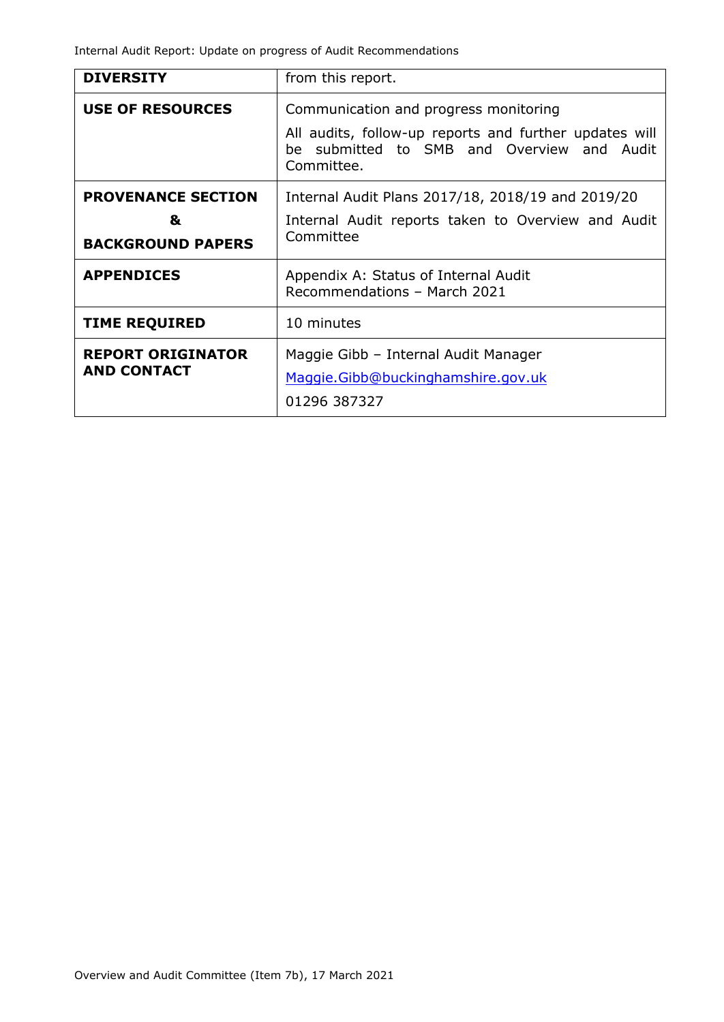Internal Audit Report: Update on progress of Audit Recommendations

| <b>DIVERSITY</b>                                           | from this report.                                                                                                                                                                                                                                                                   |  |  |  |  |  |  |
|------------------------------------------------------------|-------------------------------------------------------------------------------------------------------------------------------------------------------------------------------------------------------------------------------------------------------------------------------------|--|--|--|--|--|--|
| <b>USE OF RESOURCES</b>                                    | Communication and progress monitoring<br>All audits, follow-up reports and further updates will<br>be submitted to SMB and Overview and Audit<br>Committee.<br>Internal Audit Plans 2017/18, 2018/19 and 2019/20<br>Internal Audit reports taken to Overview and Audit<br>Committee |  |  |  |  |  |  |
| <b>PROVENANCE SECTION</b><br>&<br><b>BACKGROUND PAPERS</b> |                                                                                                                                                                                                                                                                                     |  |  |  |  |  |  |
| <b>APPENDICES</b>                                          | Appendix A: Status of Internal Audit<br>Recommendations - March 2021                                                                                                                                                                                                                |  |  |  |  |  |  |
| <b>TIME REQUIRED</b>                                       | 10 minutes                                                                                                                                                                                                                                                                          |  |  |  |  |  |  |
| <b>REPORT ORIGINATOR</b><br><b>AND CONTACT</b>             | Maggie Gibb - Internal Audit Manager<br>Maggie.Gibb@buckinghamshire.gov.uk<br>01296 387327                                                                                                                                                                                          |  |  |  |  |  |  |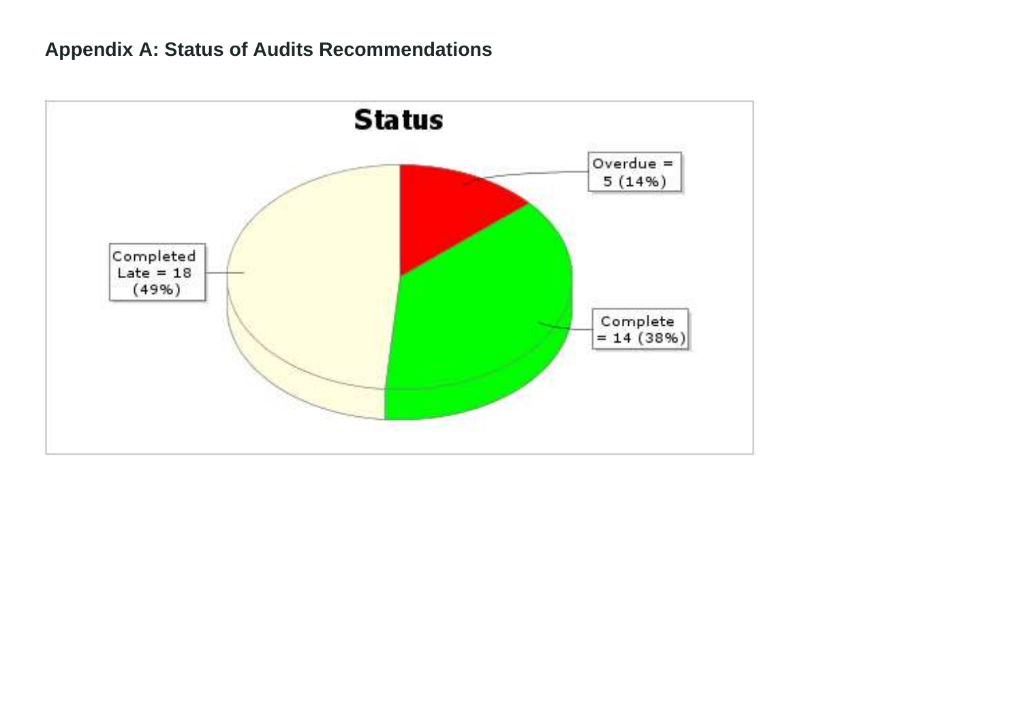## **Appendix A: Status of Audits Recommendations**

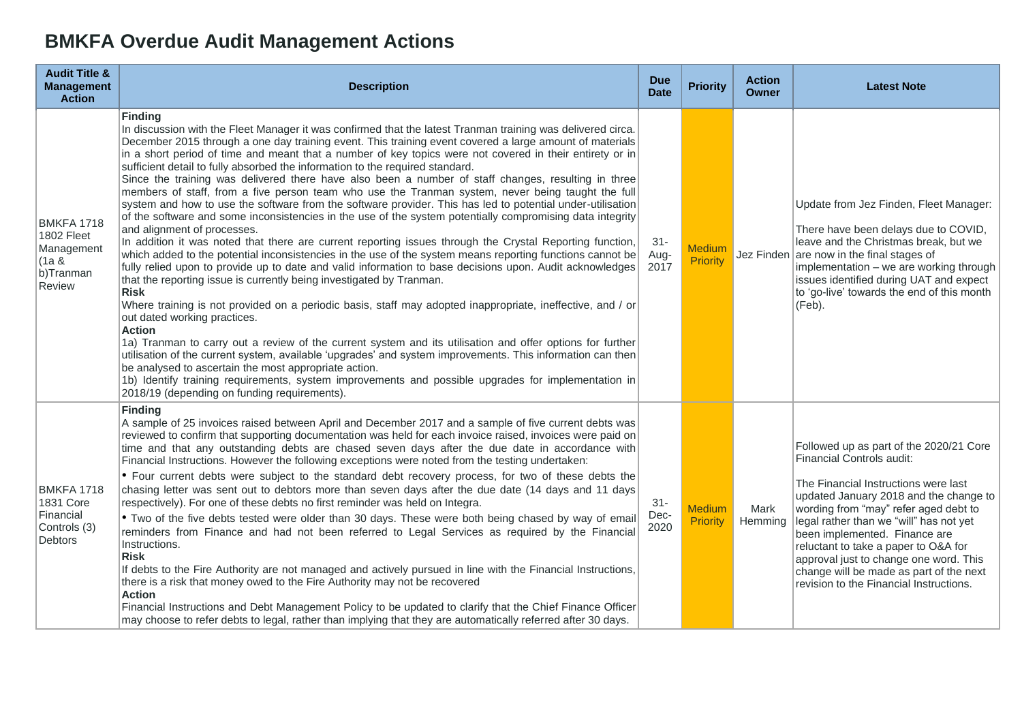## **BMKFA Overdue Audit Management Actions**

| <b>Audit Title &amp;</b><br><b>Management</b><br><b>Action</b>         | <b>Description</b>                                                                                                                                                                                                                                                                                                                                                                                                                                                                                                                                                                                                                                                                                                                                                                                                                                                                                                                                                                                                                                                                                                                                                                                                                                                                                                                                                                                                                                                                                                                                                                                                                                                                                                                                                                                                                                                                                                                                | <b>Due</b><br><b>Date</b> | <b>Priority</b>                  | <b>Action</b><br>Owner | <b>Latest Note</b>                                                                                                                                                                                                                                                                                                                                                                                                                                  |
|------------------------------------------------------------------------|---------------------------------------------------------------------------------------------------------------------------------------------------------------------------------------------------------------------------------------------------------------------------------------------------------------------------------------------------------------------------------------------------------------------------------------------------------------------------------------------------------------------------------------------------------------------------------------------------------------------------------------------------------------------------------------------------------------------------------------------------------------------------------------------------------------------------------------------------------------------------------------------------------------------------------------------------------------------------------------------------------------------------------------------------------------------------------------------------------------------------------------------------------------------------------------------------------------------------------------------------------------------------------------------------------------------------------------------------------------------------------------------------------------------------------------------------------------------------------------------------------------------------------------------------------------------------------------------------------------------------------------------------------------------------------------------------------------------------------------------------------------------------------------------------------------------------------------------------------------------------------------------------------------------------------------------------|---------------------------|----------------------------------|------------------------|-----------------------------------------------------------------------------------------------------------------------------------------------------------------------------------------------------------------------------------------------------------------------------------------------------------------------------------------------------------------------------------------------------------------------------------------------------|
| BMKFA 1718<br>1802 Fleet<br>Management<br>(1a &<br>b)Tranman<br>Review | <b>Finding</b><br>In discussion with the Fleet Manager it was confirmed that the latest Tranman training was delivered circa.<br>December 2015 through a one day training event. This training event covered a large amount of materials<br>in a short period of time and meant that a number of key topics were not covered in their entirety or in<br>sufficient detail to fully absorbed the information to the required standard.<br>Since the training was delivered there have also been a number of staff changes, resulting in three<br>members of staff, from a five person team who use the Tranman system, never being taught the full<br>system and how to use the software from the software provider. This has led to potential under-utilisation<br>of the software and some inconsistencies in the use of the system potentially compromising data integrity<br>and alignment of processes.<br>In addition it was noted that there are current reporting issues through the Crystal Reporting function,<br>which added to the potential inconsistencies in the use of the system means reporting functions cannot be<br>fully relied upon to provide up to date and valid information to base decisions upon. Audit acknowledges<br>that the reporting issue is currently being investigated by Tranman.<br><b>Risk</b><br>Where training is not provided on a periodic basis, staff may adopted inappropriate, ineffective, and / or<br>out dated working practices.<br><b>Action</b><br>1a) Tranman to carry out a review of the current system and its utilisation and offer options for further<br>utilisation of the current system, available 'upgrades' and system improvements. This information can then<br>be analysed to ascertain the most appropriate action.<br>1b) Identify training requirements, system improvements and possible upgrades for implementation in<br>2018/19 (depending on funding requirements). | $31 -$<br>Aug-<br>2017    | <b>Medium</b><br>Priority        |                        | Update from Jez Finden, Fleet Manager:<br>There have been delays due to COVID,<br>leave and the Christmas break, but we<br>Jez Finden $ $ are now in the final stages of<br>implementation - we are working through<br>issues identified during UAT and expect<br>to 'go-live' towards the end of this month<br>(Feb).                                                                                                                              |
| BMKFA 1718<br>1831 Core<br>Financial<br>Controls (3)<br><b>Debtors</b> | <b>Finding</b><br>A sample of 25 invoices raised between April and December 2017 and a sample of five current debts was<br>reviewed to confirm that supporting documentation was held for each invoice raised, invoices were paid on<br>time and that any outstanding debts are chased seven days after the due date in accordance with<br>Financial Instructions. However the following exceptions were noted from the testing undertaken:<br>• Four current debts were subject to the standard debt recovery process, for two of these debts the<br>chasing letter was sent out to debtors more than seven days after the due date (14 days and 11 days)<br>respectively). For one of these debts no first reminder was held on Integra.<br>. Two of the five debts tested were older than 30 days. These were both being chased by way of email<br>reminders from Finance and had not been referred to Legal Services as required by the Financial<br>Instructions.<br><b>Risk</b><br>If debts to the Fire Authority are not managed and actively pursued in line with the Financial Instructions,<br>there is a risk that money owed to the Fire Authority may not be recovered<br><b>Action</b><br>Financial Instructions and Debt Management Policy to be updated to clarify that the Chief Finance Officer<br>may choose to refer debts to legal, rather than implying that they are automatically referred after 30 days.                                                                                                                                                                                                                                                                                                                                                                                                                                                                                                                 | $31 -$<br>Dec-<br>2020    | <b>Medium</b><br><b>Priority</b> | Mark<br>Hemming        | Followed up as part of the 2020/21 Core<br>Financial Controls audit:<br>The Financial Instructions were last<br>updated January 2018 and the change to<br>wording from "may" refer aged debt to<br>legal rather than we "will" has not yet<br>been implemented. Finance are<br>reluctant to take a paper to O&A for<br>approval just to change one word. This<br>change will be made as part of the next<br>revision to the Financial Instructions. |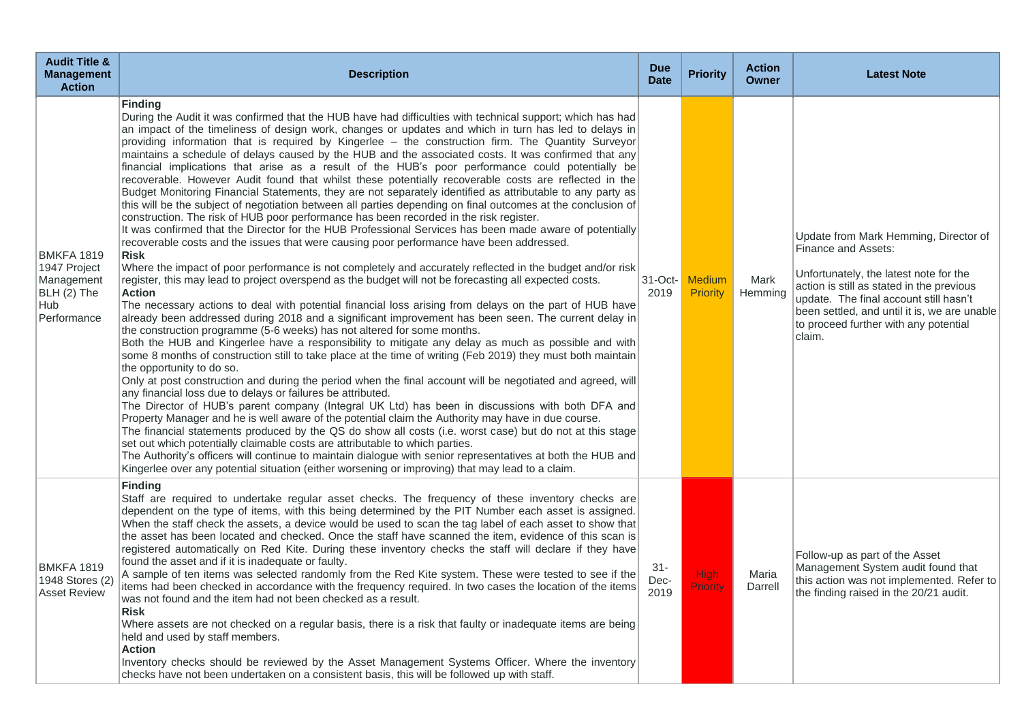| <b>Audit Title &amp;</b><br><b>Management</b><br><b>Action</b>                       | <b>Description</b>                                                                                                                                                                                                                                                                                                                                                                                                                                                                                                                                                                                                                                                                                                                                                                                                                                                                                                                                                                                                                                                                                                                                                                                                                                                                                                                                                                                                                                                                                                                                                                                                                                                                                                                                                                                                                                                                                                                                                                                                                                                                                                                                                                                                                                                                                                                                                                                                                                                                                                                                                                                                                                                                                                                                                                                            | <b>Due</b><br><b>Date</b> | <b>Priority</b>                  | <b>Action</b><br><b>Owner</b> | <b>Latest Note</b>                                                                                                                                                                                                                                                                               |
|--------------------------------------------------------------------------------------|---------------------------------------------------------------------------------------------------------------------------------------------------------------------------------------------------------------------------------------------------------------------------------------------------------------------------------------------------------------------------------------------------------------------------------------------------------------------------------------------------------------------------------------------------------------------------------------------------------------------------------------------------------------------------------------------------------------------------------------------------------------------------------------------------------------------------------------------------------------------------------------------------------------------------------------------------------------------------------------------------------------------------------------------------------------------------------------------------------------------------------------------------------------------------------------------------------------------------------------------------------------------------------------------------------------------------------------------------------------------------------------------------------------------------------------------------------------------------------------------------------------------------------------------------------------------------------------------------------------------------------------------------------------------------------------------------------------------------------------------------------------------------------------------------------------------------------------------------------------------------------------------------------------------------------------------------------------------------------------------------------------------------------------------------------------------------------------------------------------------------------------------------------------------------------------------------------------------------------------------------------------------------------------------------------------------------------------------------------------------------------------------------------------------------------------------------------------------------------------------------------------------------------------------------------------------------------------------------------------------------------------------------------------------------------------------------------------------------------------------------------------------------------------------------------------|---------------------------|----------------------------------|-------------------------------|--------------------------------------------------------------------------------------------------------------------------------------------------------------------------------------------------------------------------------------------------------------------------------------------------|
| <b>BMKFA 1819</b><br>1947 Project<br>Management<br>BLH (2) The<br>Hub<br>Performance | <b>Finding</b><br>During the Audit it was confirmed that the HUB have had difficulties with technical support; which has had<br>an impact of the timeliness of design work, changes or updates and which in turn has led to delays in<br>providing information that is required by Kingerlee - the construction firm. The Quantity Surveyor<br>maintains a schedule of delays caused by the HUB and the associated costs. It was confirmed that any<br>financial implications that arise as a result of the HUB's poor performance could potentially be<br>recoverable. However Audit found that whilst these potentially recoverable costs are reflected in the<br>Budget Monitoring Financial Statements, they are not separately identified as attributable to any party as<br>this will be the subject of negotiation between all parties depending on final outcomes at the conclusion of<br>construction. The risk of HUB poor performance has been recorded in the risk register.<br>It was confirmed that the Director for the HUB Professional Services has been made aware of potentially<br>recoverable costs and the issues that were causing poor performance have been addressed.<br><b>Risk</b><br>Where the impact of poor performance is not completely and accurately reflected in the budget and/or risk<br>register, this may lead to project overspend as the budget will not be forecasting all expected costs.<br><b>Action</b><br>The necessary actions to deal with potential financial loss arising from delays on the part of HUB have<br>already been addressed during 2018 and a significant improvement has been seen. The current delay in<br>the construction programme (5-6 weeks) has not altered for some months.<br>Both the HUB and Kingerlee have a responsibility to mitigate any delay as much as possible and with<br>some 8 months of construction still to take place at the time of writing (Feb 2019) they must both maintain<br>the opportunity to do so.<br>Only at post construction and during the period when the final account will be negotiated and agreed, will<br>any financial loss due to delays or failures be attributed.<br>The Director of HUB's parent company (Integral UK Ltd) has been in discussions with both DFA and<br>Property Manager and he is well aware of the potential claim the Authority may have in due course.<br>The financial statements produced by the QS do show all costs (i.e. worst case) but do not at this stage<br>set out which potentially claimable costs are attributable to which parties.<br>The Authority's officers will continue to maintain dialogue with senior representatives at both the HUB and<br>Kingerlee over any potential situation (either worsening or improving) that may lead to a claim. | $31$ -Oct-<br>2019        | <b>Medium</b><br><b>Priority</b> | Mark<br>Hemming               | Update from Mark Hemming, Director of<br>Finance and Assets:<br>Unfortunately, the latest note for the<br>action is still as stated in the previous<br>update. The final account still hasn't<br>been settled, and until it is, we are unable<br>to proceed further with any potential<br>claim. |
| <b>BMKFA 1819</b><br>1948 Stores (2)<br><b>Asset Review</b>                          | <b>Finding</b><br>Staff are required to undertake regular asset checks. The frequency of these inventory checks are<br>dependent on the type of items, with this being determined by the PIT Number each asset is assigned.<br>When the staff check the assets, a device would be used to scan the tag label of each asset to show that<br>the asset has been located and checked. Once the staff have scanned the item, evidence of this scan is<br>registered automatically on Red Kite. During these inventory checks the staff will declare if they have<br>found the asset and if it is inadequate or faulty.<br>A sample of ten items was selected randomly from the Red Kite system. These were tested to see if the<br>items had been checked in accordance with the frequency required. In two cases the location of the items<br>was not found and the item had not been checked as a result.<br><b>Risk</b><br>Where assets are not checked on a regular basis, there is a risk that faulty or inadequate items are being<br>held and used by staff members.<br><b>Action</b><br>Inventory checks should be reviewed by the Asset Management Systems Officer. Where the inventory<br>checks have not been undertaken on a consistent basis, this will be followed up with staff.                                                                                                                                                                                                                                                                                                                                                                                                                                                                                                                                                                                                                                                                                                                                                                                                                                                                                                                                                                                                                                                                                                                                                                                                                                                                                                                                                                                                                                                                                                                   | $31 -$<br>Dec-<br>2019    | High<br><b>Priority</b>          | Maria<br>Darrell              | Follow-up as part of the Asset<br>Management System audit found that<br>this action was not implemented. Refer to<br>the finding raised in the 20/21 audit.                                                                                                                                      |